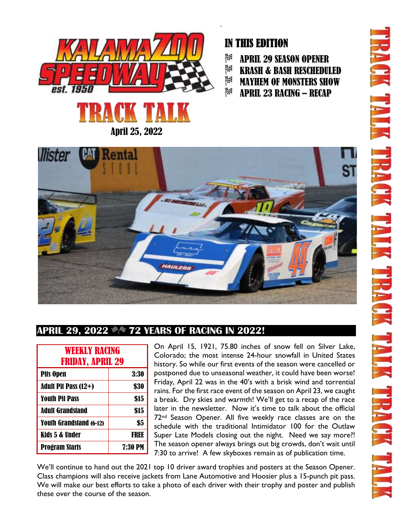

# IN THIS EDITION

- ŖØ APRIL 29 SEASON OPENER
- 課 KRASH & BASH RESCHEDULED
- 3% MAYHEM OF MONSTERS SHOW
- ß% APRIL 23 RACING – RECAP



## **APRIL 29, 2022 \*\* 72 YEARS OF RACING IN 2022!**

| <b>WEEKLY RACING</b><br><b>FRIDAY, APRIL 29</b> |                |
|-------------------------------------------------|----------------|
| <b>Pits Open</b>                                | 3:30           |
| <b>Adult Pit Pass (12+)</b>                     | \$30           |
| <b>Youth Pit Pass</b>                           | \$15           |
| <b>Adult Grandstand</b>                         | \$15           |
| <b>Youth Grandstand (6-12)</b>                  | \$5            |
| Kids 5 & Under                                  | FRFF           |
| <b>Program Starts</b>                           | <b>7:30 PM</b> |

On April 15, 1921, 75.80 inches of snow fell on Silver Lake, Colorado; the most intense 24-hour snowfall in United States history. So while our first events of the season were cancelled or postponed due to unseasonal weather, it could have been worse! Friday, April 22 was in the 40's with a brisk wind and torrential rains. For the first race event of the season on April 23, we caught a break. Dry skies and warmth! We'll get to a recap of the race later in the newsletter. Now it's time to talk about the official 72nd Season Opener. All five weekly race classes are on the schedule with the traditional Intimidator 100 for the Outlaw Super Late Models closing out the night. Need we say more?! The season opener always brings out big crowds, don't wait until 7:30 to arrive! A few skyboxes remain as of publication time.

We'll continue to hand out the 2021 top 10 driver award trophies and posters at the Season Opener. Class champions will also receive jackets from Lane Automotive and Hoosier plus a 15-punch pit pass. We will make our best efforts to take a photo of each driver with their trophy and poster and publish these over the course of the season.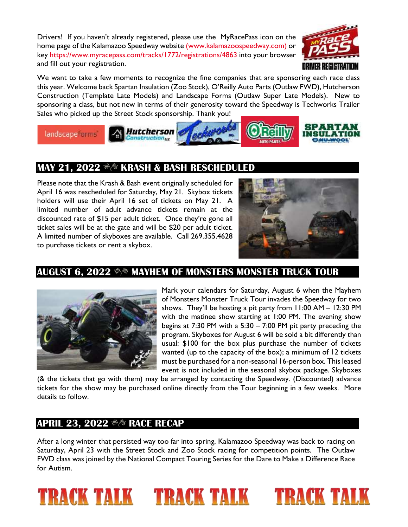Drivers! If you haven't already registered, please use the MyRacePass icon on the home page of the Kalamazoo Speedway website [\(www.kalamazoospeedway.com\)](http://www.kalamazoospeedway.com/) or key<https://www.myracepass.com/tracks/1772/registrations/4863> into your browser and fill out your registration.



We want to take a few moments to recognize the fine companies that are sponsoring each race class this year. Welcome back Spartan Insulation (Zoo Stock), O'Reilly Auto Parts (Outlaw FWD), Hutcherson Construction (Template Late Models) and Landscape Forms (Outlaw Super Late Models). New to sponsoring a class, but not new in terms of their generosity toward the Speedway is Techworks Trailer Sales who picked up the Street Stock sponsorship. Thank you!



# **MAY 21, 2022**  $\frac{m}{N}$  **KRASH & BASH RESCHEDULED**

Please note that the Krash & Bash event originally scheduled for April 16 was rescheduled for Saturday, May 21. Skybox tickets holders will use their April 16 set of tickets on May 21. A limited number of adult advance tickets remain at the discounted rate of \$15 per adult ticket. Once they're gone all ticket sales will be at the gate and will be \$20 per adult ticket. A limited number of skyboxes are available. Call 269.355.4628 to purchase tickets or rent a skybox.



### **AUGUST 6, 2022**  $\frac{m}{m}$  **MAYHEM OF MONSTERS MONSTER TRUCK TOUR**



Mark your calendars for Saturday, August 6 when the Mayhem of Monsters Monster Truck Tour invades the Speedway for two shows. They'll be hosting a pit party from 11:00 AM – 12:30 PM with the matinee show starting at 1:00 PM. The evening show begins at 7:30 PM with a 5:30 – 7:00 PM pit party preceding the program. Skyboxes for August 6 will be sold a bit differently than usual: \$100 for the box plus purchase the number of tickets wanted (up to the capacity of the box); a minimum of 12 tickets must be purchased for a non-seasonal 16-person box. This leased event is not included in the seasonal skybox package. Skyboxes

(& the tickets that go with them) may be arranged by contacting the Speedway. (Discounted) advance tickets for the show may be purchased online directly from the Tour beginning in a few weeks. More details to follow.

#### **APRIL 23, 2022 \*\* RACE RECAP**

After a long winter that persisted way too far into spring, Kalamazoo Speedway was back to racing on Saturday, April 23 with the Street Stock and Zoo Stock racing for competition points. The Outlaw FWD class was joined by the National Compact Touring Series for the Dare to Make a Difference Race for Autism.

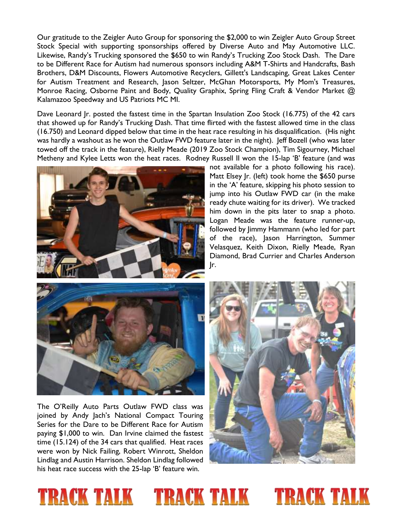Our gratitude to the Zeigler Auto Group for sponsoring the \$2,000 to win Zeigler Auto Group Street Stock Special with supporting sponsorships offered by Diverse Auto and May Automotive LLC. Likewise, Randy's Trucking sponsored the \$650 to win Randy's Trucking Zoo Stock Dash. The Dare to be Different Race for Autism had numerous sponsors including A&M T-Shirts and Handcrafts, Bash Brothers, D&M Discounts, Flowers Automotive Recyclers, Gillett's Landscaping, Great Lakes Center for Autism Treatment and Research, Jason Seltzer, McGhan Motorsports, My Mom's Treasures, Monroe Racing, Osborne Paint and Body, Quality Graphix, Spring Fling Craft & Vendor Market @ Kalamazoo Speedway and US Patriots MC MI.

Dave Leonard Jr. posted the fastest time in the Spartan Insulation Zoo Stock (16.775) of the 42 cars that showed up for Randy's Trucking Dash. That time flirted with the fastest allowed time in the class (16.750) and Leonard dipped below that time in the heat race resulting in his disqualification. (His night was hardly a washout as he won the Outlaw FWD feature later in the night). Jeff Bozell (who was later towed off the track in the feature), Rielly Meade (2019 Zoo Stock Champion), Tim Sigourney, Michael Metheny and Kylee Letts won the heat races. Rodney Russell II won the 15-lap 'B' feature (and was



not available for a photo following his race). Matt Elsey Jr. (left) took home the \$650 purse in the 'A' feature, skipping his photo session to jump into his Outlaw FWD car (in the make ready chute waiting for its driver). We tracked him down in the pits later to snap a photo. Logan Meade was the feature runner-up, followed by Jimmy Hammann (who led for part of the race), Jason Harrington, Summer Velasquez, Keith Dixon, Rielly Meade, Ryan Diamond, Brad Currier and Charles Anderson Jr.



The O'Reilly Auto Parts Outlaw FWD class was joined by Andy Jach's National Compact Touring Series for the Dare to be Different Race for Autism paying \$1,000 to win. Dan Irvine claimed the fastest time (15.124) of the 34 cars that qualified. Heat races were won by Nick Failing, Robert Winrott, Sheldon Lindlag and Austin Harrison. Sheldon Lindlag followed his heat race success with the 25-lap 'B' feature win.



## **TRACK TALK** TRACK TALK TRACK TALK